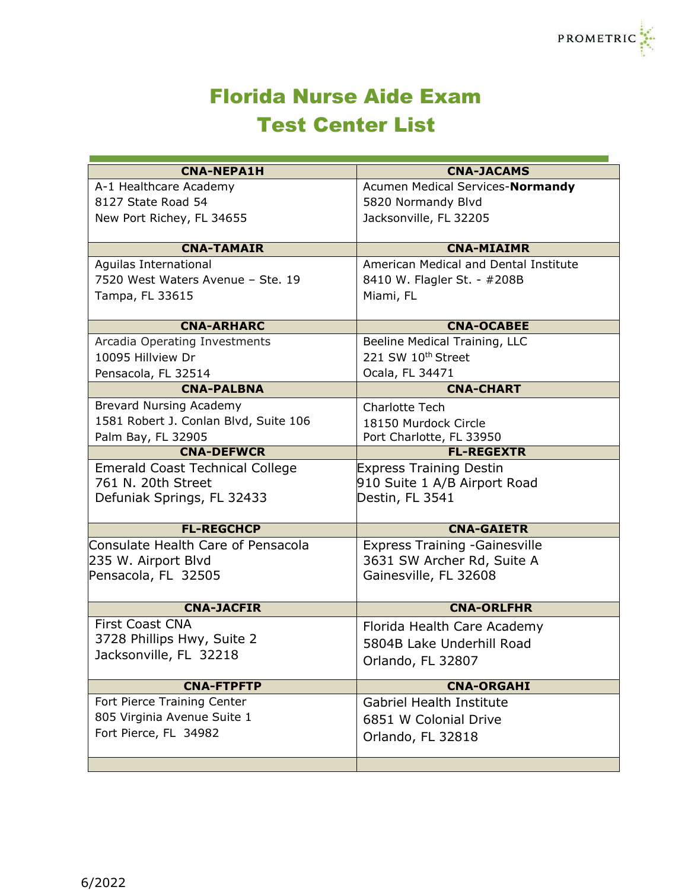## Florida Nurse Aide Exam Test Center List

| <b>CNA-NEPA1H</b>                                  | <b>CNA-JACAMS</b>                                              |
|----------------------------------------------------|----------------------------------------------------------------|
| A-1 Healthcare Academy                             | Acumen Medical Services-Normandy                               |
| 8127 State Road 54                                 | 5820 Normandy Blvd                                             |
| New Port Richey, FL 34655                          | Jacksonville, FL 32205                                         |
|                                                    |                                                                |
| <b>CNA-TAMAIR</b>                                  | <b>CNA-MIAIMR</b>                                              |
| Aguilas International                              | American Medical and Dental Institute                          |
| 7520 West Waters Avenue - Ste. 19                  | 8410 W. Flagler St. - #208B                                    |
| Tampa, FL 33615                                    | Miami, FL                                                      |
| <b>CNA-ARHARC</b>                                  | <b>CNA-OCABEE</b>                                              |
|                                                    |                                                                |
| Arcadia Operating Investments<br>10095 Hillview Dr | Beeline Medical Training, LLC<br>221 SW 10th Street            |
|                                                    |                                                                |
| Pensacola, FL 32514                                | Ocala, FL 34471                                                |
| <b>CNA-PALBNA</b>                                  | <b>CNA-CHART</b>                                               |
| <b>Brevard Nursing Academy</b>                     | <b>Charlotte Tech</b>                                          |
| 1581 Robert J. Conlan Blvd, Suite 106              | 18150 Murdock Circle                                           |
| Palm Bay, FL 32905<br><b>CNA-DEFWCR</b>            | Port Charlotte, FL 33950<br><b>FL-REGEXTR</b>                  |
| <b>Emerald Coast Technical College</b>             |                                                                |
| 761 N. 20th Street                                 | <b>Express Training Destin</b><br>910 Suite 1 A/B Airport Road |
| Defuniak Springs, FL 32433                         | Destin, FL 3541                                                |
|                                                    |                                                                |
| <b>FL-REGCHCP</b>                                  | <b>CNA-GAIETR</b>                                              |
| Consulate Health Care of Pensacola                 | <b>Express Training - Gainesville</b>                          |
| 235 W. Airport Blvd                                | 3631 SW Archer Rd, Suite A                                     |
| Pensacola, FL 32505                                | Gainesville, FL 32608                                          |
|                                                    |                                                                |
| <b>CNA-JACFIR</b>                                  | <b>CNA-ORLFHR</b>                                              |
| <b>First Coast CNA</b>                             | Florida Health Care Academy                                    |
| 3728 Phillips Hwy, Suite 2                         | 5804B Lake Underhill Road                                      |
| Jacksonville, FL 32218                             | Orlando, FL 32807                                              |
|                                                    |                                                                |
| <b>CNA-FTPFTP</b>                                  | <b>CNA-ORGAHI</b>                                              |
| Fort Pierce Training Center                        | <b>Gabriel Health Institute</b>                                |
| 805 Virginia Avenue Suite 1                        | 6851 W Colonial Drive                                          |
| Fort Pierce, FL 34982                              | Orlando, FL 32818                                              |
|                                                    |                                                                |
|                                                    |                                                                |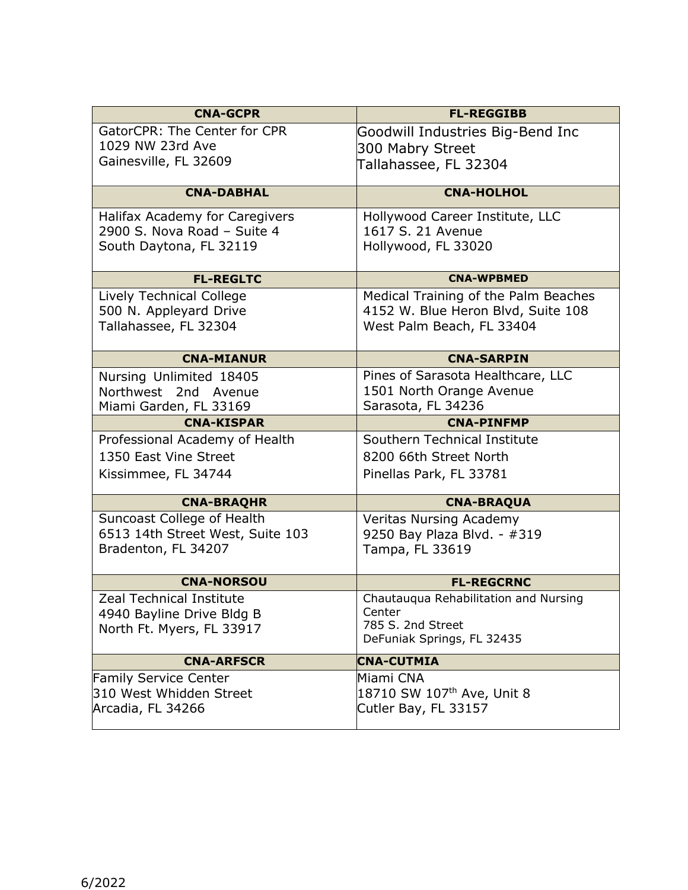| GatorCPR: The Center for CPR<br>Goodwill Industries Big-Bend Inc<br>1029 NW 23rd Ave<br>300 Mabry Street<br>Gainesville, FL 32609<br>Tallahassee, FL 32304<br><b>CNA-DABHAL</b><br><b>CNA-HOLHOL</b><br>Hollywood Career Institute, LLC<br>Halifax Academy for Caregivers<br>1617 S. 21 Avenue<br>2900 S. Nova Road - Suite 4<br>South Daytona, FL 32119<br>Hollywood, FL 33020<br><b>FL-REGLTC</b><br><b>CNA-WPBMED</b><br>Lively Technical College<br>Medical Training of the Palm Beaches<br>500 N. Appleyard Drive<br>4152 W. Blue Heron Blvd, Suite 108<br>Tallahassee, FL 32304<br>West Palm Beach, FL 33404<br><b>CNA-MIANUR</b><br><b>CNA-SARPIN</b><br>Pines of Sarasota Healthcare, LLC<br>Nursing Unlimited 18405<br>1501 North Orange Avenue<br>Northwest 2nd Avenue<br>Sarasota, FL 34236<br>Miami Garden, FL 33169<br><b>CNA-KISPAR</b><br><b>CNA-PINFMP</b><br>Southern Technical Institute<br>Professional Academy of Health<br>1350 East Vine Street<br>8200 66th Street North<br>Kissimmee, FL 34744<br>Pinellas Park, FL 33781 |
|---------------------------------------------------------------------------------------------------------------------------------------------------------------------------------------------------------------------------------------------------------------------------------------------------------------------------------------------------------------------------------------------------------------------------------------------------------------------------------------------------------------------------------------------------------------------------------------------------------------------------------------------------------------------------------------------------------------------------------------------------------------------------------------------------------------------------------------------------------------------------------------------------------------------------------------------------------------------------------------------------------------------------------------------------|
|                                                                                                                                                                                                                                                                                                                                                                                                                                                                                                                                                                                                                                                                                                                                                                                                                                                                                                                                                                                                                                                   |
|                                                                                                                                                                                                                                                                                                                                                                                                                                                                                                                                                                                                                                                                                                                                                                                                                                                                                                                                                                                                                                                   |
|                                                                                                                                                                                                                                                                                                                                                                                                                                                                                                                                                                                                                                                                                                                                                                                                                                                                                                                                                                                                                                                   |
|                                                                                                                                                                                                                                                                                                                                                                                                                                                                                                                                                                                                                                                                                                                                                                                                                                                                                                                                                                                                                                                   |
|                                                                                                                                                                                                                                                                                                                                                                                                                                                                                                                                                                                                                                                                                                                                                                                                                                                                                                                                                                                                                                                   |
|                                                                                                                                                                                                                                                                                                                                                                                                                                                                                                                                                                                                                                                                                                                                                                                                                                                                                                                                                                                                                                                   |
|                                                                                                                                                                                                                                                                                                                                                                                                                                                                                                                                                                                                                                                                                                                                                                                                                                                                                                                                                                                                                                                   |
|                                                                                                                                                                                                                                                                                                                                                                                                                                                                                                                                                                                                                                                                                                                                                                                                                                                                                                                                                                                                                                                   |
|                                                                                                                                                                                                                                                                                                                                                                                                                                                                                                                                                                                                                                                                                                                                                                                                                                                                                                                                                                                                                                                   |
|                                                                                                                                                                                                                                                                                                                                                                                                                                                                                                                                                                                                                                                                                                                                                                                                                                                                                                                                                                                                                                                   |
|                                                                                                                                                                                                                                                                                                                                                                                                                                                                                                                                                                                                                                                                                                                                                                                                                                                                                                                                                                                                                                                   |
|                                                                                                                                                                                                                                                                                                                                                                                                                                                                                                                                                                                                                                                                                                                                                                                                                                                                                                                                                                                                                                                   |
|                                                                                                                                                                                                                                                                                                                                                                                                                                                                                                                                                                                                                                                                                                                                                                                                                                                                                                                                                                                                                                                   |
|                                                                                                                                                                                                                                                                                                                                                                                                                                                                                                                                                                                                                                                                                                                                                                                                                                                                                                                                                                                                                                                   |
|                                                                                                                                                                                                                                                                                                                                                                                                                                                                                                                                                                                                                                                                                                                                                                                                                                                                                                                                                                                                                                                   |
|                                                                                                                                                                                                                                                                                                                                                                                                                                                                                                                                                                                                                                                                                                                                                                                                                                                                                                                                                                                                                                                   |
|                                                                                                                                                                                                                                                                                                                                                                                                                                                                                                                                                                                                                                                                                                                                                                                                                                                                                                                                                                                                                                                   |
|                                                                                                                                                                                                                                                                                                                                                                                                                                                                                                                                                                                                                                                                                                                                                                                                                                                                                                                                                                                                                                                   |
|                                                                                                                                                                                                                                                                                                                                                                                                                                                                                                                                                                                                                                                                                                                                                                                                                                                                                                                                                                                                                                                   |
| <b>CNA-BRAQHR</b><br><b>CNA-BRAQUA</b>                                                                                                                                                                                                                                                                                                                                                                                                                                                                                                                                                                                                                                                                                                                                                                                                                                                                                                                                                                                                            |
| <b>Suncoast College of Health</b><br>Veritas Nursing Academy                                                                                                                                                                                                                                                                                                                                                                                                                                                                                                                                                                                                                                                                                                                                                                                                                                                                                                                                                                                      |
| 6513 14th Street West, Suite 103<br>9250 Bay Plaza Blvd. - #319                                                                                                                                                                                                                                                                                                                                                                                                                                                                                                                                                                                                                                                                                                                                                                                                                                                                                                                                                                                   |
| Bradenton, FL 34207<br>Tampa, FL 33619                                                                                                                                                                                                                                                                                                                                                                                                                                                                                                                                                                                                                                                                                                                                                                                                                                                                                                                                                                                                            |
| <b>CNA-NORSOU</b><br><b>FL-REGCRNC</b>                                                                                                                                                                                                                                                                                                                                                                                                                                                                                                                                                                                                                                                                                                                                                                                                                                                                                                                                                                                                            |
| <b>Zeal Technical Institute</b><br>Chautauqua Rehabilitation and Nursing                                                                                                                                                                                                                                                                                                                                                                                                                                                                                                                                                                                                                                                                                                                                                                                                                                                                                                                                                                          |
| 4940 Bayline Drive Bldg B<br>Center<br>785 S. 2nd Street                                                                                                                                                                                                                                                                                                                                                                                                                                                                                                                                                                                                                                                                                                                                                                                                                                                                                                                                                                                          |
| North Ft. Myers, FL 33917<br>DeFuniak Springs, FL 32435                                                                                                                                                                                                                                                                                                                                                                                                                                                                                                                                                                                                                                                                                                                                                                                                                                                                                                                                                                                           |
| <b>CNA-ARFSCR</b><br><b>CNA-CUTMIA</b>                                                                                                                                                                                                                                                                                                                                                                                                                                                                                                                                                                                                                                                                                                                                                                                                                                                                                                                                                                                                            |
| <b>Family Service Center</b><br>Miami CNA                                                                                                                                                                                                                                                                                                                                                                                                                                                                                                                                                                                                                                                                                                                                                                                                                                                                                                                                                                                                         |
| 18710 SW 107th Ave, Unit 8<br>310 West Whidden Street                                                                                                                                                                                                                                                                                                                                                                                                                                                                                                                                                                                                                                                                                                                                                                                                                                                                                                                                                                                             |
| Arcadia, FL 34266<br>Cutler Bay, FL 33157                                                                                                                                                                                                                                                                                                                                                                                                                                                                                                                                                                                                                                                                                                                                                                                                                                                                                                                                                                                                         |